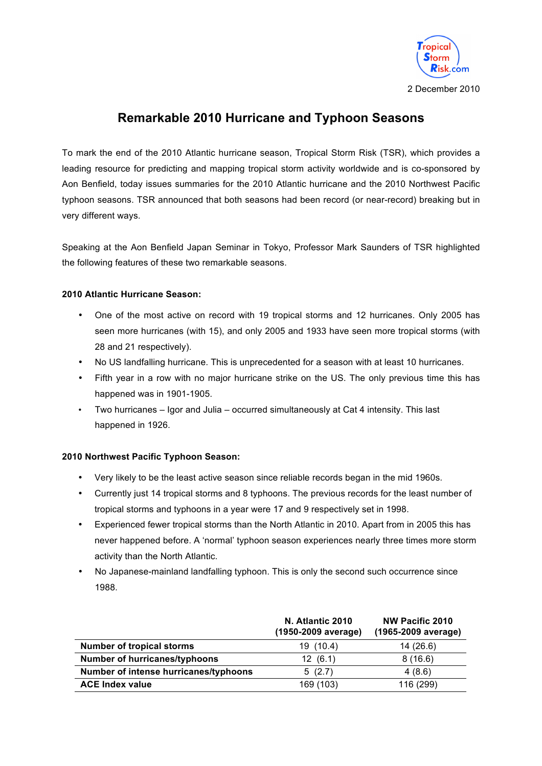

# **Remarkable 2010 Hurricane and Typhoon Seasons**

To mark the end of the 2010 Atlantic hurricane season, Tropical Storm Risk (TSR), which provides a leading resource for predicting and mapping tropical storm activity worldwide and is co-sponsored by Aon Benfield, today issues summaries for the 2010 Atlantic hurricane and the 2010 Northwest Pacific typhoon seasons. TSR announced that both seasons had been record (or near-record) breaking but in very different ways.

Speaking at the Aon Benfield Japan Seminar in Tokyo, Professor Mark Saunders of TSR highlighted the following features of these two remarkable seasons.

## **2010 Atlantic Hurricane Season:**

- One of the most active on record with 19 tropical storms and 12 hurricanes. Only 2005 has seen more hurricanes (with 15), and only 2005 and 1933 have seen more tropical storms (with 28 and 21 respectively).
- No US landfalling hurricane. This is unprecedented for a season with at least 10 hurricanes.
- Fifth year in a row with no major hurricane strike on the US. The only previous time this has happened was in 1901-1905.
- Two hurricanes Igor and Julia occurred simultaneously at Cat 4 intensity. This last happened in 1926.

## **2010 Northwest Pacific Typhoon Season:**

- Very likely to be the least active season since reliable records began in the mid 1960s.
- Currently just 14 tropical storms and 8 typhoons. The previous records for the least number of tropical storms and typhoons in a year were 17 and 9 respectively set in 1998.
- Experienced fewer tropical storms than the North Atlantic in 2010. Apart from in 2005 this has never happened before. A 'normal' typhoon season experiences nearly three times more storm activity than the North Atlantic.
- No Japanese-mainland landfalling typhoon. This is only the second such occurrence since 1988.

|                                       | N. Atlantic 2010<br>(1950-2009 average) | NW Pacific 2010<br>(1965-2009 average) |
|---------------------------------------|-----------------------------------------|----------------------------------------|
| <b>Number of tropical storms</b>      | 19 (10.4)                               | 14 (26.6)                              |
| Number of hurricanes/typhoons         | 12(6.1)                                 | 8(16.6)                                |
| Number of intense hurricanes/typhoons | 5(2.7)                                  | 4(8.6)                                 |
| <b>ACE Index value</b>                | 169 (103)                               | 116 (299)                              |